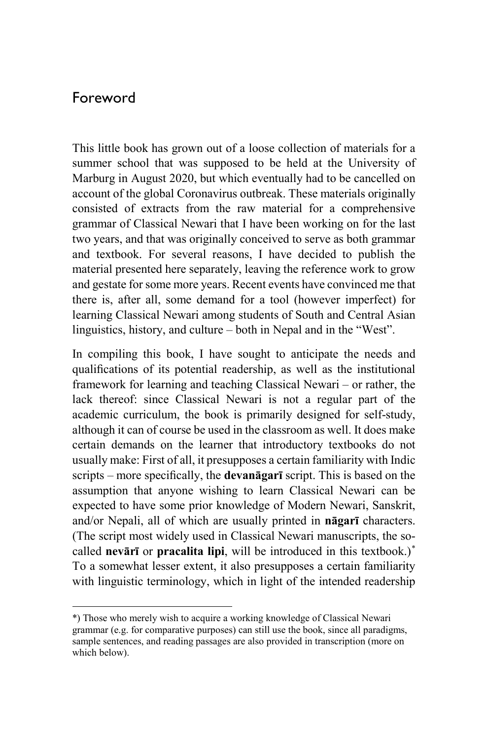## Foreword

 $\overline{a}$ 

This little book has grown out of a loose collection of materials for a summer school that was supposed to be held at the University of Marburg in August 2020, but which eventually had to be cancelled on account of the global Coronavirus outbreak. These materials originally consisted of extracts from the raw material for a comprehensive grammar of Classical Newari that I have been working on for the last two years, and that was originally conceived to serve as both grammar and textbook. For several reasons, I have decided to publish the material presented here separately, leaving the reference work to grow and gestate for some more years. Recent events have convinced me that there is, after all, some demand for a tool (however imperfect) for learning Classical Newari among students of South and Central Asian linguistics, history, and culture – both in Nepal and in the "West".

In compiling this book, I have sought to anticipate the needs and qualifications of its potential readership, as well as the institutional framework for learning and teaching Classical Newari – or rather, the lack thereof: since Classical Newari is not a regular part of the academic curriculum, the book is primarily designed for self-study, although it can of course be used in the classroom as well. It does make certain demands on the learner that introductory textbooks do not usually make: First of all, it presupposes a certain familiarity with Indic scripts – more specifically, the **devanāgarī** script. This is based on the assumption that anyone wishing to learn Classical Newari can be expected to have some prior knowledge of Modern Newari, Sanskrit, and/or Nepali, all of which are usually printed in **nāgarī** characters. (The script most widely used in Classical Newari manuscripts, the socalled **nevārī** or **pracalita lipi**, will be introduced in this textbook.)\* To a somewhat lesser extent, it also presupposes a certain familiarity with linguistic terminology, which in light of the intended readership

<sup>\*)</sup> Those who merely wish to acquire a working knowledge of Classical Newari grammar (e.g. for comparative purposes) can still use the book, since all paradigms, sample sentences, and reading passages are also provided in transcription (more on which below).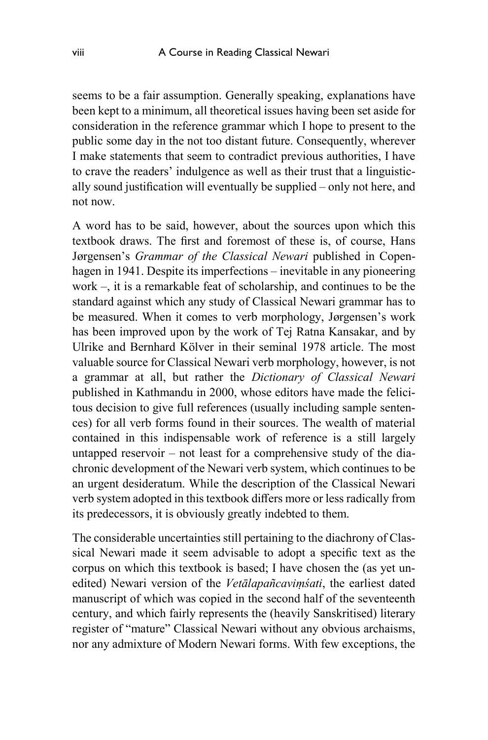seems to be a fair assumption. Generally speaking, explanations have been kept to a minimum, all theoretical issues having been set aside for consideration in the reference grammar which I hope to present to the public some day in the not too distant future. Consequently, wherever I make statements that seem to contradict previous authorities, I have to crave the readers' indulgence as well as their trust that a linguistically sound justification will eventually be supplied – only not here, and not now.

A word has to be said, however, about the sources upon which this textbook draws. The first and foremost of these is, of course, Hans Jørgensen's *Grammar of the Classical Newari* published in Copenhagen in 1941. Despite its imperfections – inevitable in any pioneering work –, it is a remarkable feat of scholarship, and continues to be the standard against which any study of Classical Newari grammar has to be measured. When it comes to verb morphology, Jørgensen's work has been improved upon by the work of Tej Ratna Kansakar, and by Ulrike and Bernhard Kölver in their seminal 1978 article. The most valuable source for Classical Newari verb morphology, however, is not a grammar at all, but rather the *Dictionary of Classical Newari* published in Kathmandu in 2000, whose editors have made the felicitous decision to give full references (usually including sample sentences) for all verb forms found in their sources. The wealth of material contained in this indispensable work of reference is a still largely untapped reservoir – not least for a comprehensive study of the diachronic development of the Newari verb system, which continues to be an urgent desideratum. While the description of the Classical Newari verb system adopted in this textbook differs more or less radically from its predecessors, it is obviously greatly indebted to them.

The considerable uncertainties still pertaining to the diachrony of Classical Newari made it seem advisable to adopt a specific text as the corpus on which this textbook is based; I have chosen the (as yet unedited) Newari version of the *Vetālapañcaviṃśati*, the earliest dated manuscript of which was copied in the second half of the seventeenth century, and which fairly represents the (heavily Sanskritised) literary register of "mature" Classical Newari without any obvious archaisms, nor any admixture of Modern Newari forms. With few exceptions, the